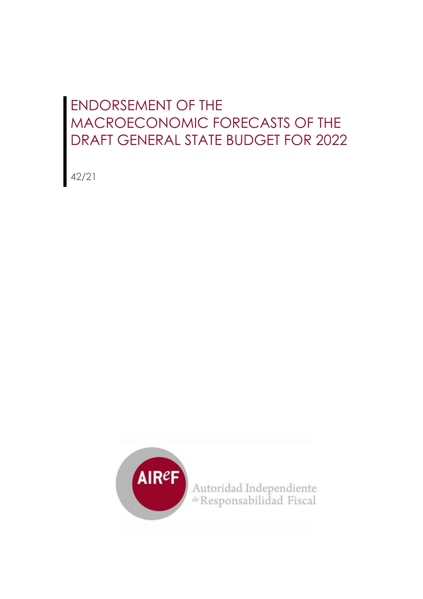## ENDORSEMENT OF THE MACROECONOMIC FORECASTS OF THE DRAFT GENERAL STATE BUDGET FOR 2022

42/21

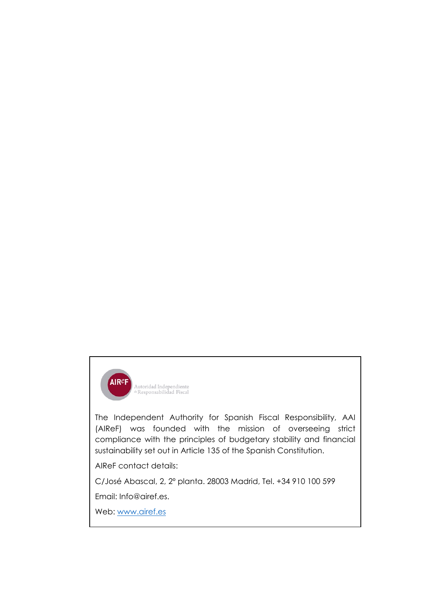

The Independent Authority for Spanish Fiscal Responsibility, AAI (AIReF) was founded with the mission of overseeing strict compliance with the principles of budgetary stability and financial sustainability set out in Article 135 of the Spanish Constitution.

AIReF contact details:

C/José Abascal, 2, 2º planta. 28003 Madrid, Tel. +34 910 100 599

Email: Info@airef.es.

Web: [www.airef.es](http://www.airef.es/)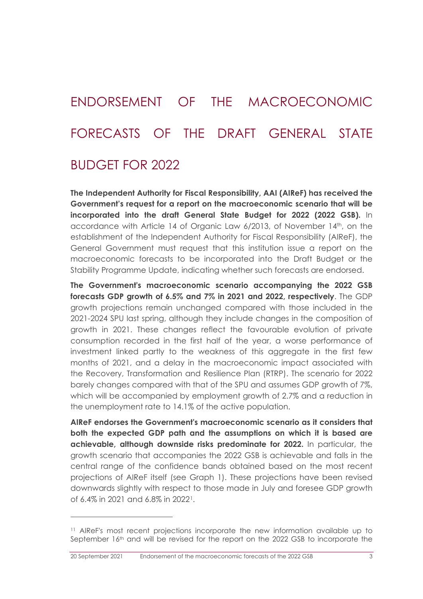## ENDORSEMENT OF THE MACROECONOMIC FORECASTS OF THE DRAFT GENERAL STATE BUDGET FOR 2022

**The Independent Authority for Fiscal Responsibility, AAI (AIReF) has received the Government's request for a report on the macroeconomic scenario that will be incorporated into the draft General State Budget for 2022 (2022 GSB).** In accordance with Article 14 of Organic Law 6/2013, of November 14th, on the establishment of the Independent Authority for Fiscal Responsibility (AIReF), the General Government must request that this institution issue a report on the macroeconomic forecasts to be incorporated into the Draft Budget or the Stability Programme Update, indicating whether such forecasts are endorsed.

**The Government's macroeconomic scenario accompanying the 2022 GSB forecasts GDP growth of 6.5% and 7% in 2021 and 2022, respectively**. The GDP growth projections remain unchanged compared with those included in the 2021-2024 SPU last spring, although they include changes in the composition of growth in 2021. These changes reflect the favourable evolution of private consumption recorded in the first half of the year, a worse performance of investment linked partly to the weakness of this aggregate in the first few months of 2021, and a delay in the macroeconomic impact associated with the Recovery, Transformation and Resilience Plan (RTRP). The scenario for 2022 barely changes compared with that of the SPU and assumes GDP growth of 7%, which will be accompanied by employment growth of 2.7% and a reduction in the unemployment rate to 14.1% of the active population.

**AIReF endorses the Government's macroeconomic scenario as it considers that both the expected GDP path and the assumptions on which it is based are achievable, although downside risks predominate for 2022.** In particular, the growth scenario that accompanies the 2022 GSB is achievable and falls in the central range of the confidence bands obtained based on the most recent projections of AIReF itself (see Graph 1). These projections have been revised downwards slightly with respect to those made in July and foresee GDP growth of 6.4% in 2021 and 6.8% in 2022[1](#page-2-0).

<span id="page-2-0"></span><sup>11</sup> AIReF's most recent projections incorporate the new information available up to September 16th and will be revised for the report on the 2022 GSB to incorporate the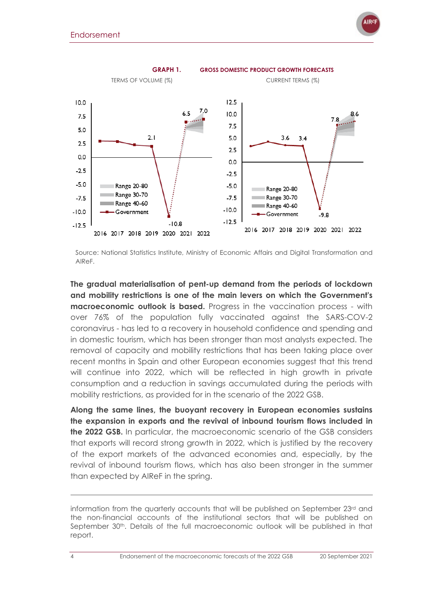

Source: National Statistics Institute, Ministry of Economic Affairs and Digital Transformation and AIReF.

**The gradual materialisation of pent-up demand from the periods of lockdown and mobility restrictions is one of the main levers on which the Government's macroeconomic outlook is based.** Progress in the vaccination process - with over 76% of the population fully vaccinated against the SARS-COV-2 coronavirus - has led to a recovery in household confidence and spending and in domestic tourism, which has been stronger than most analysts expected. The removal of capacity and mobility restrictions that has been taking place over recent months in Spain and other European economies suggest that this trend will continue into 2022, which will be reflected in high growth in private consumption and a reduction in savings accumulated during the periods with mobility restrictions, as provided for in the scenario of the 2022 GSB.

**Along the same lines, the buoyant recovery in European economies sustains the expansion in exports and the revival of inbound tourism flows included in the 2022 GSB.** In particular, the macroeconomic scenario of the GSB considers that exports will record strong growth in 2022, which is justified by the recovery of the export markets of the advanced economies and, especially, by the revival of inbound tourism flows, which has also been stronger in the summer than expected by AIReF in the spring.

information from the quarterly accounts that will be published on September 23rd and the non-financial accounts of the institutional sectors that will be published on September 30<sup>th</sup>. Details of the full macroeconomic outlook will be published in that report.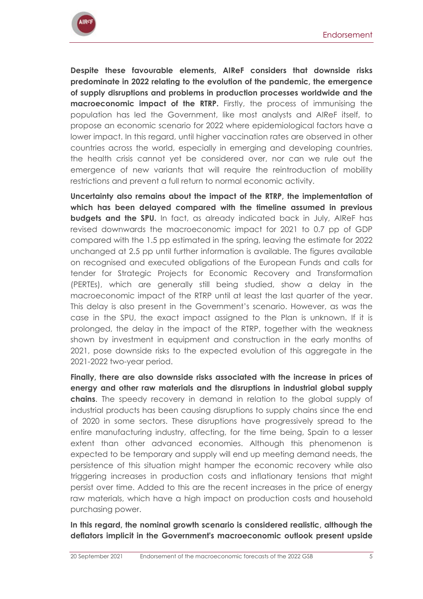

**Despite these favourable elements, AIReF considers that downside risks predominate in 2022 relating to the evolution of the pandemic, the emergence of supply disruptions and problems in production processes worldwide and the macroeconomic impact of the RTRP.** Firstly, the process of immunising the population has led the Government, like most analysts and AIReF itself, to propose an economic scenario for 2022 where epidemiological factors have a lower impact. In this regard, until higher vaccination rates are observed in other countries across the world, especially in emerging and developing countries, the health crisis cannot yet be considered over, nor can we rule out the emergence of new variants that will require the reintroduction of mobility restrictions and prevent a full return to normal economic activity.

**Uncertainty also remains about the impact of the RTRP, the implementation of which has been delayed compared with the timeline assumed in previous budgets and the SPU.** In fact, as already indicated back in July, AIReF has revised downwards the macroeconomic impact for 2021 to 0.7 pp of GDP compared with the 1.5 pp estimated in the spring, leaving the estimate for 2022 unchanged at 2.5 pp until further information is available. The figures available on recognised and executed obligations of the European Funds and calls for tender for Strategic Projects for Economic Recovery and Transformation (PERTEs), which are generally still being studied, show a delay in the macroeconomic impact of the RTRP until at least the last quarter of the year. This delay is also present in the Government's scenario. However, as was the case in the SPU, the exact impact assigned to the Plan is unknown. If it is prolonged, the delay in the impact of the RTRP, together with the weakness shown by investment in equipment and construction in the early months of 2021, pose downside risks to the expected evolution of this aggregate in the 2021-2022 two-year period.

**Finally, there are also downside risks associated with the increase in prices of energy and other raw materials and the disruptions in industrial global supply chains**. The speedy recovery in demand in relation to the global supply of industrial products has been causing disruptions to supply chains since the end of 2020 in some sectors. These disruptions have progressively spread to the entire manufacturing industry, affecting, for the time being, Spain to a lesser extent than other advanced economies. Although this phenomenon is expected to be temporary and supply will end up meeting demand needs, the persistence of this situation might hamper the economic recovery while also triggering increases in production costs and inflationary tensions that might persist over time. Added to this are the recent increases in the price of energy raw materials, which have a high impact on production costs and household purchasing power.

**In this regard, the nominal growth scenario is considered realistic, although the deflators implicit in the Government's macroeconomic outlook present upside**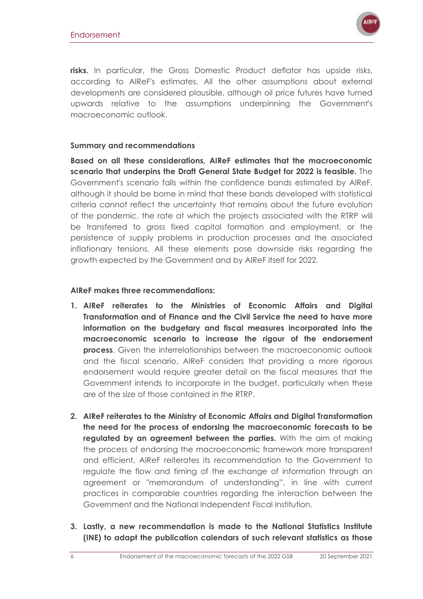

**risks.** In particular, the Gross Domestic Product deflator has upside risks, according to AIReF's estimates. All the other assumptions about external developments are considered plausible, although oil price futures have turned upwards relative to the assumptions underpinning the Government's macroeconomic outlook.

## **Summary and recommendations**

**Based on all these considerations, AIReF estimates that the macroeconomic scenario that underpins the Draft General State Budget for 2022 is feasible.** The Government's scenario falls within the confidence bands estimated by AIReF, although it should be borne in mind that these bands developed with statistical criteria cannot reflect the uncertainty that remains about the future evolution of the pandemic, the rate at which the projects associated with the RTRP will be transferred to gross fixed capital formation and employment, or the persistence of supply problems in production processes and the associated inflationary tensions. All these elements pose downside risks regarding the growth expected by the Government and by AIReF itself for 2022.

## **AIReF makes three recommendations:**

- **1. AIReF reiterates to the Ministries of Economic Affairs and Digital Transformation and of Finance and the Civil Service the need to have more information on the budgetary and fiscal measures incorporated into the macroeconomic scenario to increase the rigour of the endorsement process**. Given the interrelationships between the macroeconomic outlook and the fiscal scenario, AIReF considers that providing a more rigorous endorsement would require greater detail on the fiscal measures that the Government intends to incorporate in the budget, particularly when these are of the size of those contained in the RTRP.
- **2. AIReF reiterates to the Ministry of Economic Affairs and Digital Transformation the need for the process of endorsing the macroeconomic forecasts to be regulated by an agreement between the parties.** With the aim of making the process of endorsing the macroeconomic framework more transparent and efficient, AIReF reiterates its recommendation to the Government to regulate the flow and timing of the exchange of information through an agreement or "memorandum of understanding", in line with current practices in comparable countries regarding the interaction between the Government and the National Independent Fiscal Institution.
- **3. Lastly, a new recommendation is made to the National Statistics Institute (INE) to adapt the publication calendars of such relevant statistics as those**